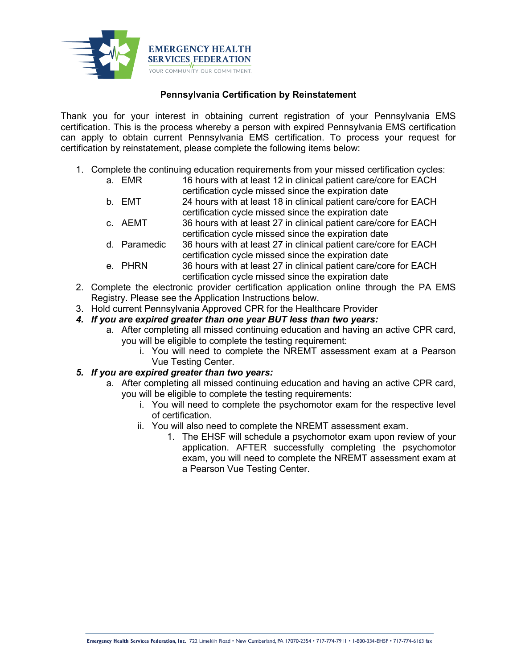

## **Pennsylvania Certification by Reinstatement**

Thank you for your interest in obtaining current registration of your Pennsylvania EMS certification. This is the process whereby a person with expired Pennsylvania EMS certification can apply to obtain current Pennsylvania EMS certification. To process your request for certification by reinstatement, please complete the following items below:

- 1. Complete the continuing education requirements from your missed certification cycles:
	- a. EMR 16 hours with at least 12 in clinical patient care/core for EACH certification cycle missed since the expiration date
	- b. EMT 24 hours with at least 18 in clinical patient care/core for EACH certification cycle missed since the expiration date
	- c. AEMT 36 hours with at least 27 in clinical patient care/core for EACH certification cycle missed since the expiration date
	- d. Paramedic 36 hours with at least 27 in clinical patient care/core for EACH certification cycle missed since the expiration date
	- e. PHRN 36 hours with at least 27 in clinical patient care/core for EACH certification cycle missed since the expiration date
- 2. Complete the electronic provider certification application online through the PA EMS Registry. Please see the Application Instructions below.
- 3. Hold current Pennsylvania Approved CPR for the Healthcare Provider
- *4. If you are expired greater than one year BUT less than two years:*
	- a. After completing all missed continuing education and having an active CPR card, you will be eligible to complete the testing requirement:
		- i. You will need to complete the NREMT assessment exam at a Pearson Vue Testing Center.

## *5. If you are expired greater than two years:*

- a. After completing all missed continuing education and having an active CPR card, you will be eligible to complete the testing requirements:
	- i. You will need to complete the psychomotor exam for the respective level of certification.
	- ii. You will also need to complete the NREMT assessment exam.
		- 1. The EHSF will schedule a psychomotor exam upon review of your application. AFTER successfully completing the psychomotor exam, you will need to complete the NREMT assessment exam at a Pearson Vue Testing Center.